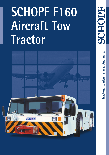# **SCHOPF F160 Aircraft Tow Tractor**